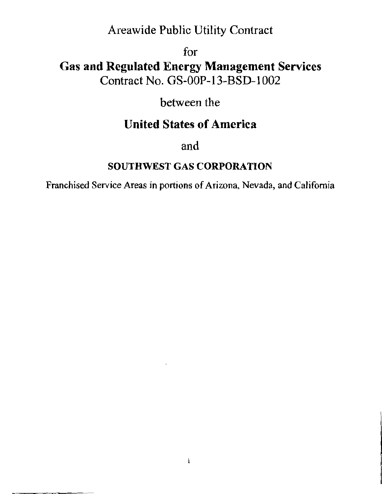# Areawide Public Utility Contract

for

# Gas and Regulated Energy Management Services Contract No. GS-OOP-13-BSD-1002

between the

# United States of America

and

# SOUTHWEST GAS CORPORATION

Franchised Service Areas in portions of Arizona, Nevada, and California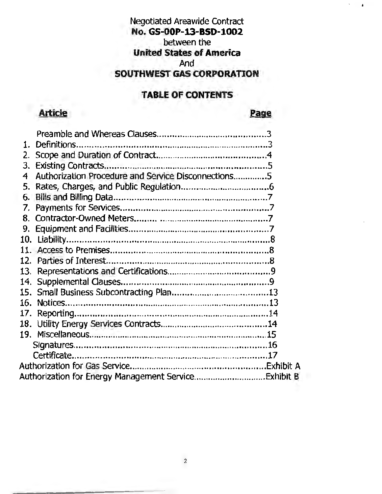# Negotiated Areawide Contract **No. GS-oOP-13-BSD-1002**

between the

# **United States of America**

And

# **SOUTHWEST GAS CORPORATION**

# **TABLE OF CONTENTS**

# **Article Page**

 $\pmb{\ast}$ 

| 1.  |                                                     |  |
|-----|-----------------------------------------------------|--|
| 2.  |                                                     |  |
| 3.  | <b>Existing Contracts</b>                           |  |
| 4   | Authorization Procedure and Service Disconnections5 |  |
| 5.  |                                                     |  |
| 6.  |                                                     |  |
| 7.  |                                                     |  |
|     |                                                     |  |
| 9.  |                                                     |  |
|     |                                                     |  |
|     |                                                     |  |
| 12. |                                                     |  |
| 13. |                                                     |  |
| 14. |                                                     |  |
|     |                                                     |  |
| 16. |                                                     |  |
| 17. |                                                     |  |
|     |                                                     |  |
|     |                                                     |  |
|     |                                                     |  |
|     |                                                     |  |
|     |                                                     |  |
|     |                                                     |  |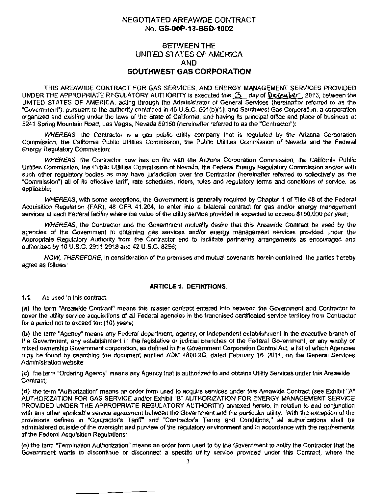### NEGOTIATED AREAWIDE CONTRACT No. GS~OOP-13-BSD-1002

# BETWEEN THE UNITED STATES OF AMERICA AND SOUTHWEST GAS CORPORATION

THIS AREAWIDE CONTRACT FOR GAS SERVICES, AND ENERGY MANAGEMENT SERVICES PROVIDED UNDER THE APPROPRIATE REGULATORY AUTHORITY is executed this  $.3$  day of December, 2013, between the UNITED STATES OF AMERICA, acting through the Administrator of General Services (hereinafter referred to as the "Government"), pursuant to the authority contained in 40 U.S.C. 501 (b)(1 ), and Southwest Gas Corporation, a corporation organized and existing under the laws of the State of California, and having its principal office and place of business at 5241 Spring Mountain Road, Las Vegas, Nevada 89150 (hereinafter referred to as the "Contractor"):

WHEREAS, the Contractor is a gas public utility company that is regulated by the Arizona Corporation Commission, the California Public Utilities Commission, the Public Utilities Commission of Nevada and the Federal Energy Regulatory Commission;

WHEREAS, the Contractor now has on file with the Arizona Corporation Commission, the California Public Utilities Commission, the Public Utilities Commission of Nevada, the Federal Energy Regulatory Commission and/or with such other regulatory bodies as may have jurisdiction over the Contractor (hereinafter referred to collectively as the "Commission") all of its effective tariff, rate schedules, riders, rules and regulatory terms and conditions of service, as applicable;

WHEREAS, with some exceptions, the Government is generally required by Chapter 1 of Title 48 of the Federal Acquisition Regulation (FAR), 48 CFR 41.204, to enter into a bilateral contract for gas and/or energy management services at each Federal facility where the value of the utility service provided is expected to exceed \$150,000 per year;

WHEREAS, the Contractor and the Government mutually desire that this Areawide Contract be used by the agencies of the Government in obtaining gas services and/or energy management services provided under the Appropriate Regulatory Authority from the Contractor and to facilitate partnering arrangements as encouraged and authorized by 10 U.S.C. 2911-2918 and 42 U.S.C. 8256;

NOW, THEREFORE, in consideration of the premises and mutual covenants herein contained, the parties hereby agree as follows:

#### ARTICLE 1. DEFINITIONS.

1.1. As used in this contract,

(a) the term "Areawide Contract" means this master contract entered into between the Government and Contractor to cover the utility service acquisitions of all Federal agencies in the franchised certificated service territory from Contractor for a period not to exceed ten (10) years;

(b) the term "Agency" means any Federal department, agency, or independent establishment in the executive branch of the Government, any establishment in the legislative or judicial branches of the Federal Government, or any wholly or mixed ownership Government corporation, as defined in the Government Corporation Control Act, a list of which Agencies *may* be found by searching the document entitled ADM 4800.2G, dated February 16, 2011, on the General Services Administration website;

(c) the term "Ordering Agency" means any Agency that is authorized to and obtains Utility Services under this Areawide Contract;

(d) the term "Authorization" means an order form used to acquire services under this Areawide Contract (see Exhibit "A" AUTHORIZATION FOR GAS SERVICE and/or Exhibit "B• AUTHORIZATION FOR ENERGY MANAGEMENT SERVICE PROVIDED UNDER THE APPROPRIATE REGULATORY AUTHORITY) annexed hereto, in relation to and conjunction with any other applicable service agreement between the Government and the particular utility. With the exception of the provisions defined in "Contractor's Tariff" and "Contractor's Terms and Conditions," all authorizations shall be administered outside of the oversight and purview of the regulatory environment and in accordance with the requirements of the Federal Acquisition Regulations;

(e) the term ''Termination Authorization" means an order form used to by the Government to notify the Contractor that the Government wants to discontinue or disconnect a specific utility service provided under this Contract, where the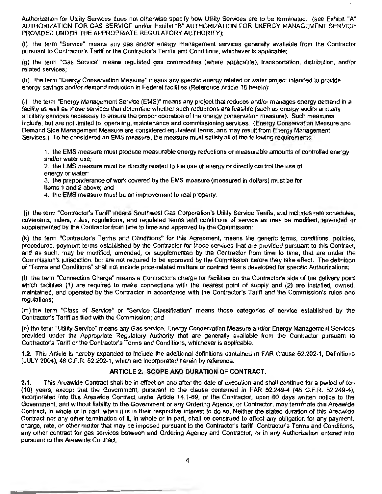Authorization for Utility Services does not otherwise specify how Utility Services are to be terminated. (see Exhibit "A" AUTHORIZATION FOR GAS SERVICE and/or Exhibit "B" AUTHORIZATION FOR ENERGY MANAGEMENT SERVICE PROVIDED UNDER THE APPROPRIATE REGULATORY AUTHORITY);

(f) the term "Service" means any gas and/or energy management services generally available from the Contractor pursuant to Contractor's Tariff or the Contractor's Terms and Conditions, whichever is applicable;

(g) the term MGas Service" means regulated gas commodities (where applicable), transportation, distribution, and/or related services;

(h) the term "Energy Conservation Measure" means any specific energy related or water project intended to provide energy savings and/or demand reduction in Federal facilities (Reference Article 18 herein);

(i) the term "Energy Management Service (EMS)" means any project that reduces and/or manages energy demand in a facility as well as those services that determine whether such reductions are feasible (such as energy audits and any ancillary services necessary to ensure the proper operation of the energy conservation measure). Such measures include, but are not limited to, operating, maintenance and commissioning services. (Energy Conservation Measure and Demand Side Management Measure are considered equivalent terms, and may result from Energy Management Services.) To be considered an EMS measure, the measure must satisfy all of the following requirements:

1. the EMS measure must produce measurable energy reductions or measurable amounts of controlled energy and/or water use;

2. the EMS measure must be directly related to the use of energy or directly control the use of energy or water;

3. the preponderance of work covered by the EMS measure (measured in dollars) must be for Items 1 and 2 above; and

4. the EMS measure must be an improvement to real property.

(i) the term "Contractor's Tariff" means Southwest Gas Corporation's Utility Service Tariffs, and includes rate schedules, covenants, riders, rules, regulations, and regulated terms and conditions of service as may be modified, amended or supplemented by the Contractor from time to time and approved by the Commission;

(k) the term "Contractor's Terms and Conditions" for this Agreement, means the generic terms, conditions, policies, procedures, payment terms established by the Contractor for those services that are provided pursuant to this Contract, and as such, may be modified, amended, or supplemented by the Contractor from time to time, that are under the Commission's jurisdiction, but are not required to be approved by the Commission before they take effect. The definition of ..Terms and Conditions" shall not include price-related matters or contract terms developed for specific Authorizations;

(I) the term "Connection Charge~ means a Contractor's charge for facilities on the Contractor's side of the delivery point which facilities (1) are required to make connections with the nearest point of supply and (2) are installed, owned, maintained, and operated by the Contractor in accordance with the Contractor's Tariff and the Commission's rules and regulations;

(m) the term "Class of Service" or "Service Classification" means those categories of service established by the Contractor's Tariff as filed with the Commission; and

(n) the term "Utility Service" means any Gas service, Energy Conservation Measure and/or Energy Management Services provided under the Appropriate Regulatory Authority that are generally available from the Contractor pursuant to Contractor's Tariff or the Contractor's Terms and Conditions, whichever is applicable.

**1.2.** This Article is hereby expanded to include the additional definitions contained in FAR Clause 52.202-1, Definitions (JULY 2004), 48 C.F.R. 52.202-1, which are incorporated herein by reference.

### **ARTICLE 2. SCOPE AND DURATION OF CONTRACT.**

**2.1.** This Areawide Contract shall be in effect on and after the date of execution and shall continue for a period of ten (10) years, except that the Government. pursuant to the clause contained in FAR 52.249-4 (48 C.F.R. 52.249-4), incorporated into this Areawide Contract under Article 14.1-69, or the Contractor, upon 60 days written notice to the Government, and without liability to the Government or any Ordering Agency, or Contractor. may terminate this Areawide Contract, in whole or in part, when it is in their respective interest to do so. Neither the stated duration of this Areawide Contract nor any other termination of it, in whole or in part, shalf be construed to affect any obligation for any payment, charge, rate, or other matter that may be imposed pursuant to the Contractor's tariff, Contractor's Terms and Conditions, any other contract for gas services between and Ordering Agency and Contractor, or in any Authorization entered into pursuant to this Areawide Contract.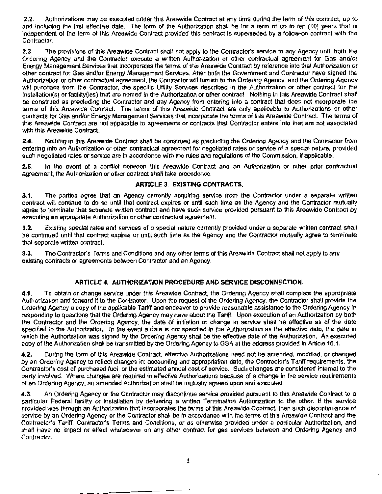2.2. Authorizations may be executed under this Areawide Contract at any time during the term of this contract, up to and including the last effective date. The term of the Authorization shall be for a term of up to ten (10) years that is independent of the term of this Areawide Contract provided this contract is superseded by a follow-on contract with the Contractor.

2.3. The provisions of this Areawide Contract shall not apply to the Contractor's service to any Agency until both the Ordering Agency and the Contractor execute a written Authorization or other contractual agreement for Gas and/or Energy Management Services that incorporates the terms of this Areawide Contract by reference into that Authorization or other contract for Gas and/or Energy Management Services. After both the Government and Contractor have signed the Authorization or other contractual agreement, the Contractor will furnish to the Ordering Agency. and the Ordering Agency will purchase from the Contractor, the specific Utility Services described in the Authorization or other contract for the installation(s) or facility{ies) that are named in the Authorization or other contract. Nothing in this Areawide Contract shall be construed as precluding the Contractor and any Agency from entering Into a contract that does not incorporate the terms of this Areawide Contract. The terms of this Areawide Contract are only applicable to Authorizations or other contracts for Gas and/or Energy Management Services that incorporate the terms of this Areawide Contract. The terms of this Areawide Contract are not applicable to agreements or contracts that Contractor enters into that are not associated with this Areawide Contract.

**2.4.** Nothing in this Areawide Contract shall be construed as precluding the Ordering Agency and the Contractor from entering into an Authorization or other contractual agreement for negotiated rates or service of a special nature, provided such negotiated rates or service are in accordance with the rules and regulations of the Commission, if applicable.

**2.5.** In the event of a conflict between this Areawide Contract and an Authorization or other prior contractual agreement, the Authorization or other contract shalt take precedence.

### **ARTICLE 3. EXISTING CONTRACTS.**

3.1. The parties agree that an Agency currently acquiring service from the Contractor under a separate written contract will continue to do so until that contract expires or until such time as the Agency and the Contractor mutually agree to terminate that separate written contract and have such service provided pursuant to this Areawide Contract by executing an appropriate Authorization or other contractual agreement.

3.2. Existing special rates and services of a special nature currently provided under a separate written contract shall be continued until that contract expires or until such time as the Agency and the Contractor mutually agree to terminate that separate written contract.

3.3. The Contractor's Terms and Conditions and any other terms of this Areawide Contract shall not apply to any existing contracts or agreements between Contractor and an Agency.

#### **ARTICLE 4. AUTHORIZATION PROCEDURE AND SERVICE DISCONNECTION.**

**4.1.** To obtain or change service under this Areawide Contract. the Ordering Agency shall complete the appropriate Authorization and forward it to the Contractor. Upon the request of the Ordering Agency, the Contractor shall provide the Ordering Agency a copy of the applicable Tariff and endeavor to provide reasonable assistance to the Ordering Agency in responding to questions that the Ordering Agency may have about the Tariff. Upon execution of an Authorization by both the Contractor and the Ordering Agency, the date of initiation or change in service shall be effective as of the date specified in the Authorization. In the event a date is not specified in the Authorization as the effective date, the date in which the Authorization was signed by the Ordering Agency shall be the effective date of the Authorization. An executed copy of the Authorization shall be transmitted by the Ordering Agency to GSA at the address provided in Article 16.1.

**4.2.** During the term of this Areawide Contract, effective Authorizations need not be amended, modified. or changed by an Ordering Agency to reflect changes in: accounting and appropriation data, the Contractor's Tariff requirements, the Contractor's cost of purchased fuel, or the estimated annual cost of service. Such changes are considered internal to the party involved. Where changes are required in effective Authorizations because of a change in the service requirements of an Ordering Agency, an amended Authorization shall be mutually agreed upon and executed.

**4.3.** An Ordering Agency or the Contractor may discontinue service provided pursuant to this Areawide Contract to a particular Federal facility or installation by delivering a written Termination Authorization to the other. If the service provided was through an Authorization that incorporates the terms of this Areawide Contract, then such discontinuance of service by an Ordering Agency or the Contractor shall be in accordance with the terms of this Areawide Contract and the Contractor's Tariff. Contractor's Terms and Conditions, or as otherwise provided under a particular Authorization, and shall have no impact or effect whatsoever on any other contract for gas services between and Ordering Agency and Contractor.

 $\mathbf{I}$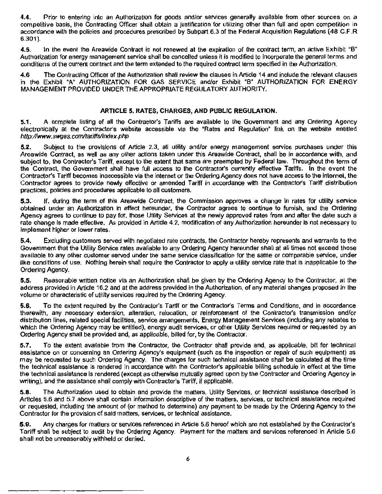**4.4.** Prior to entering into an Authorization for goods and/or services generally available from other sources on a competitive basis, the Contracting Officer shall obtain a justification for utilizing other than full and open competition in accordance with the policies and procedures prescribed by Subpart 6.3 of the Federal Acquisition Regulations (48 C.F.R 6.301).

**4.5.** In the event the Areawide Contract is not renewed at the expiration of the contract term, an active Exhibit "B" Authorization for energy management service shall be cancelled unless it is modified to incorporate the general terms and conditions of the current contract and the term extended to the required contract term specified in the Authorization.

**4.6** The Contracting Officer of the Authorization shall review the clauses in Article 14 and include the relevant clauses in the Exhibit "A" AUTHORIZATION FOR GAS SERVICE and/or Exhibit "B" AUTHORIZATION FOR ENERGY MANAGEMENT PROVIDED UNDER THE APPROPRIATE REGULATORY AUTHORITY.

#### **ARTICLE 5. RATES, CHARGES, AND PUBLIC REGULATION.**

**5.1.** A complete listing of all the Contractor's Tariffs are available to the Government and any Ordering Agency electronically at the Contractor's website accessible via the "Rates and Regulation" link on the website entitled http://www.swgas.com/tariffslindex.php

**5.2.** Subject to the provisions of Article 2.3, all utility and/or energy management service purchases under this Areawide Contract, as well as any other actions taken under this Areawide Contract, shall be in accordance with, and subject to, the Contractor's Tariff, except to the extent that same are preempted by Federal law. Throughout the term of the Contract, the Government shall have full access to the Contractor's currently effective Tariffs. In the event the Contractor's Tariff becomes Inaccessible via the internet or the Ordering Agency does not have access to the internet, the Contractor agrees to provide newty effective or amended Tariff in accordance with the Contractor's Tariff distribution practices, policies and procedures applicable to all customers.

**5.3.** If, during the term of this Areawide Contract, the Commission approves a change in rates for utility service obtained under an Authorization in effect hereunder, the Contractor agrees to continue to furnish, and the Ordering Agency agrees to continue to pay for, those Utility Services at the newly approved rates from and after the date such a rate change is made effective. As provided in Article 4.2, modification of any Authorization hereunder is not necessary to implement higher or lower rates.

**5.4.** Excluding customers served with negotiated rate contracts, the Contractor hereby represents and warrants to the Government that the Utility Service rates available to any Ordering Agency hereunder shall at all times not exceed those available to any other customer served under the same service classification for the same or comparable service, under like conditions of use. Nothing herein shall require the Contractor to apply a utility service rate that is inapplicable to the Ordering Agency.

**5.5.** Reasonable written notice via an Authorization shall be given by the Ordering Agency to the Contractor, at the address provided in Article 16.2 and at the address provided in the Authorization, of any material changes proposed in the volume or characteristic of utility services required by the Ordering Agency.

**5.6.** To the extent required by the Contractor's Tariff or the Contractor's Terms and Conditions, and in accordance therewith, any necessary extension, alteration, relocation, or reinforcement of the Contractor's transmission and/or distribution lines, related special facilities, service arrangements, Energy Management Services (including any rebates to which the Ordering Agency may be entitled), energy audit services, or other Utility Services required or requested by an Ordering Agency shall be provided and, as applicable, billed for, by the Contractor.

**5.7.** To the extent available from the Contractor, the Contractor shall provide and, as applicable, bill for technical assistance on or concerning an Ordering Agency's equipment (such as the inspection or repair of such equipment) as may be requested by such Ordering Agency. The charges for such technical assistance shall be calculated at the time the technical assistance is rendered in accordance with the Contractor's applicable billing schedule in effect at the time the technical assistance is rendered (except as otherwise mutually agreed upon by the Contractor and Ordering Agency in writing), and the assistance shall comply with Contractor's Tariff, if applicable.

**5.8.** The Authorization used to obtain and provide the matters, Utility Services, or technical assistance described in Articles 5.6 and 5.7 above shall contain information descriptive of the matters, services, or technical assistance required or requested, including the amount of (or method to determine) any payment to be made by the Ordering Agency to the Contractor for the provision of said matters, services, or technical assistance.

**5.9.** Any charges for matters or services referenced in Article 5.6 hereof which are not established by the Contractor's Tariff shall be subject to audit by the Ordering Agency. Payment for the matters and services referenced in Article 5.6 shall not be unreasonably withheld or denied.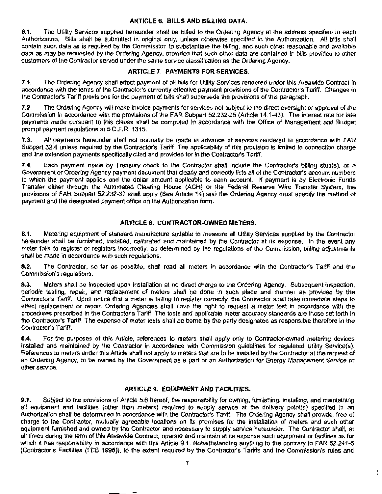#### ARTICLE 6. BILLS AND BILLING DATA.

6.1. The Utility Services supplied hereunder shall be billed to the Ordering Agency at the address specified in each Authorization. Bills shall be submitted in original only, unless otherwise specified in the Authorization. All bills shall contain such data as is required by the Commission to substantiate the billing, and such other reasonable and available data as may be requested by the Ordering Agency, provided that such other data are contained in bills provided to other customers of the Contractor served under the same service classification as the Ordering Agency.

### ARTICLE 7. PAYMENTS FOR SERVICES.

7 .1. The Ordering Agency shall effect payment of all bills for Utility Services rendered under this Areawide Contract in accordance with the terms of the Contractor's currently effective payment provisions of the Contractor's Tariff. Changes in the Contractor's Tariff provisions for the payment of bills shall supersede the provisions of this paragraph.

7.2. The Ordering Agency will make invoice payments for services not subject to the direct oversight or approval of the Commission in accordance with the provisions of the FAR Subpart 52.232-25 (Article 14.1-43). The interest rate for late payments made pursuant to this clause shall be computed in accordance with the Office of Management and Budget prompt payment regulations at 5 C.F.R. 1315.

7.3. All payments hereunder shall not normally be made in advance of services rendered in accordance with FAR Subpart 32.4 unless required by the Contractor's Tariff. The applicability of this provision is limited to connection charge and line extension payments specifically cited and provided for in the Contractor's Tariff.

7.4. Each payment made by Treasury check to the Contractor shall include the Contractor's billing stub(s), or a Government or Ordering Agency payment document that clearly and correctly lists aH of the Contractor's account numbers to which the payment applies and the dollar amount applicable to each account. If payment is by Electronic Funds Transfer either through the Automated Clearing House (ACH) or the Federal Reserve Wire Transfer System, the provisions of FAR Subpart 52.232-37 shall appfy (See Article 14) and the Ordering Agency must specify the method of payment and the designated payment office on the Authorization form.

### ARTICLE 8. CONTRACTOR-OWNED METERS.

8.1. Metering equipment of standard manufacture suitable to measure all Utility Services supplied by the Contractor hereunder shall be furnished, installed, calibrated and maintained by the Contractor at its expense. In the event any meter fails to register or registers incorrectly, as determined by the regulations of the Commission, billing adjustments shall be made in accordance with such regulations.

8.2. The Contractor, so far as possible, shall read all meters in accordance with the Contractor's Tariff and the Commission's regulations.

8.3. Meters shall be inspected upon installation at no direct charge to the Ordering Agency. Subsequent inspection, periodic testing, repair, and replacement of meters shall be done in such place and manner as provided by the Contractor's Tariff. Upon notice that a meter is failing to register correctly, the Contractor shall take immediate steps to effect replacement or repair. Ordering Agencies shall have the right to request a meter test in accordance with the procedures prescribed in the Contractor's Tariff. The tests and applicable meter accuracy standards are those set forth in the Contractor's Tariff. The expense of meter tests shall be borne by the party designated as responsible therefore in the Contractor's Tariff.

8.4. For the purposes of this Article, references to meters shall apply only to Contractor-owned metering devices installed and maintained by the Contractor in accordance with Commission guidelines for regulated Utility Service(s). References to meters under this Article shall not apply to meters that are to be installed by the Contractor at the request of an Ordering Agency, to be owned by the Government as a part of an Authorization for Energy Management Service or other service.

#### ARTICLE 9. EQUIPMENT AND FACILITIES.

9.1. Subject to the provisions of Article 5.6 hereof, the responsibility for owning, furnishing, installing, and maintaining all equipment and facilities (other than meters) required to supply service at the delivery point(s) specified in an Authorization shall be determined in accordance with the Contractor's Tariff. The Ordering Agency shall provide, free of charge to the Contractor, mutually agreeable locations on its premises for the installation of meters and such other equipment furnished and owned by the Contractor and necessary to supply service hereunder. The Contractor shall, at all times during the term of this Areawide Contract, operate and maintain at its expense such equipment or facilities as for which it has responsibility in accordance with this Article 9.1. Notwithstanding anything to the contrary in FAR 52.241-5 (Contractor's Facilities (FEB 1995)). to the extent required by the Contractor's Tariffs and the Commission's rules and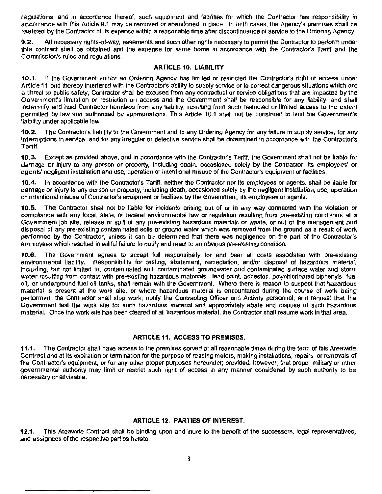regulations, and in accordance thereof, such equipment and facilities for which the Contractor has responsibility in accordance with this Article 9.1 may be removed or abandoned in place. In both cases, the Agency's premises shall be restored by the Contractor at its expense within a reasonable time after discontinuance of service to the Ordering Agency.

**9.2.** All necessary rights-of-way, easements and such other rights necessary to permit the Contractor to perform under this contract shall be obtained and the expense for same borne in accordance with the Contractor's Tariff and the Commission's rules and regulations.

#### **ARTICLE 10. LIABILITY.**

**10.1.** If the Government and/or an Ordering Agency has limited or restricted the Contractor's right of access under Article 11 and thereby interfered with the Contractor's ability to supply service or to correct dangerous situations which are a threat to public safety, Contractor shall be excused from any contractual or service obligations that are impacted by the Government's limitation or restriction on access and the Government shall be responsible for any liability, and shall indemnify and hold Contractor harmless from any liability, resulting from such restricted or limited access to the extent permitted by law and authorized by appropriations. This Article 10.1 shall not be construed to limit the Government's liability under applicable law.

**10.2.** The Contractor's liability to the Government and to any Ordering Agency for any failure to supply service, for any interruptions in service, and for any irregular or defective service shall be determined In accordance with the Contractor's Tariff.

**10.3.** Except as provided above, and in accordance with the Contractor's Tariff, the Government shall not be liable for damage or injury to any person or property, including death, occasioned solely by the Contractor, its employees' or agents' negligent installation and use, operation or intentional misuse of the Contractor's equipment or facilities .

**10.4.** In accordance with the Contractor's Tariff, neither the Contractor nor its employees or agents, shall be liable for damage or injury to any person or property, including death, occasioned solely by the negligent installation, use, operation or intentional misuse of Contractor's equipment or facilities by the Government, its employees or agents.

**10.5.** The Contractor shall not be liable for incidents arising out of or in any way connected with the violation or compliance with any local, state, or federal environmental law or regulation resulting from pre-existing conditions at a Government job site, release or spill of any pre-existing hazardous materials or waste, or out of the management and disposal of any pre-existing contaminated soils or ground water which was removed from the ground as a result of work performed by the Contractor, unless it can be determined that there was negligence on the part of the Contractor's employees which resulted in willful failure to notify and react to an obvious pre-existing condition.

**10.6.** The Government agrees to accept full responsibility for and bear all costs associated with pre-existing environmental liability. Responsibility for testing, abatement, remediation, and/or disposal of hazardous material, including, but not limited to, contaminated soil, contaminated groundwater and contaminated surface water and storm water resulting from contact with pre-existing hazardous materials, lead paint, asbestos, polychlorinated biphenyls, fuel oil, or underground fuel oil tanks, shall remain with the Government. Where there is reason to suspect that hazardous material is present at the work site, or where hazardous material is encountered during the course of work being performed, the Contractor shall stop work; notify the Contracting Officer and Activity personnel, and request that the Government test the work site for such hazardous material and appropriately abate and dispose of such hazardous material. Once the work site has been cleared of all hazardous material, the Contractor shall resume work in that area.

#### **ARTICLE 11. ACCESS TO PREMISES.**

**11.1.** The Contractor shall have access to the premises served at all reasonable times during the term of this Areawide Contract and at its expiration or termination for the purpose of reading meters, making installations, repairs, or removals of the Contractor's equipment, or for any other proper purposes hereunder; provided, however, that proper military or other governmental authority may limit or restrict such right of access in any manner considered by such authority to be necessary or advisable.

#### **ARTICLE 12. PARTIES OF INTEREST.**

**12.1.** This Areawide Contract shall be binding upon and inure to the benefit of the successors, legal representatives, and assignees of the respective parties hereto.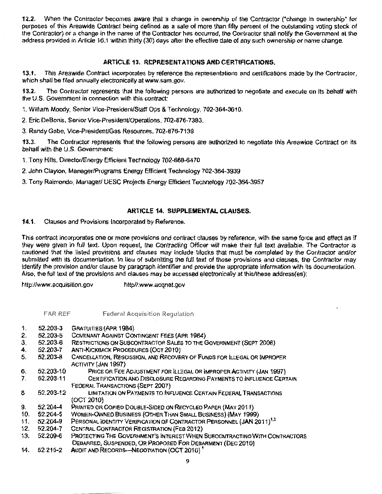12.2. When the Contractor becomes aware that a change in ownership of the Contractor ("change in ownership" for purposes of this Areawide Conlract being defined as a sale of more than fifty percent of the outstanding voting stock of the Contractor) or a change in the name of the Contractor has occurred, the Contractor shall notify the Government at the address provided in Article 16.1 within thirty (30) days after the effective date of any such ownership or name change.

### ARTICLE 13. REPRESENTATIONS AND CERTIFICATIONS.

13.1. This Areawide Contract incorporates by reference the representations and certifications made by the Contractor, which shall be filed annually electronically at www.sam.gov.

13.2. The Contractor represents thai the following persons are authorized to negotiate and execute on its behalf with the U.S. Government in connection with this contract:

1. William Moody, Senior Vice~PresidenVStaff Ops & Technology, 702~364·3610 .

2. Eric DeBonis, Senior Vice-President/Operations, 702-876-7383.

3. Randy Gabe, Vice-PresidenVGas Resources, 702-876-7139

13.3. The Contractor represents that the following persons are authorized to negotiate this Areawide Contract on its behalf with the U.S. Government:

1. Tony Hills, Director/Energy Efficient Technology 702-668-6470

2. John Clayton, ManageriPrograms Energy Efficient Technology 702-364-3939

3. Tony Raimondo, Manager/ UESC Projects Energy Efficient Technology 702-364-3957

#### ARTICLE 14. SUPPLEMENTAL CLAUSES.

14.1. Clauses and Provisions Incorporated by Reference.

This contract incorporates one or more provisions and contract clauses by reference, with the same force and effect as if they were given in full text. Upon request, the Contracting Officer will make their full text available. The Contractor is cautioned that the listed provisions and clauses may include blocks that must be completed by the Contractor and/or submitted with its documentation. In lieu of submitting the full text of those provisions and clauses, the Contractor may identify the provision and/or clause by paragraph identifier and provide the appropriate information with Its documentation. Also, the full text of the provisions and clauses may be accessed electronically at this/these address(es):

http://www .acquisition.gov http//:www .acqnet.gov

FAR REF Federal Acquisition Regulation

| 1.  | 52.203-3  | <b>GRATUITIES (APR 1984)</b>                                                                                                           |
|-----|-----------|----------------------------------------------------------------------------------------------------------------------------------------|
| 2.  | 52.203-5  | COVENANT AGAINST CONTINGENT FEES (APR 1984)                                                                                            |
| 3.  | 52.203-6  | RESTRICTIONS ON SUBCONTRACTOR SALES TO THE GOVERNMENT (SEPT 2006)                                                                      |
| 4.  | 52.203-7  | <b>ANTI-KICKBACK PROCEDURES (OCT 2010)</b>                                                                                             |
| 5.  | 52.203-8  | CANCELLATION, RESCISSION, AND RECOVERY OF FUNDS FOR ILLEGAL OR IMPROPER<br>ACTIVITY (JAN 1997)                                         |
| 6.  | 52.203-10 | PRICE OR FEE ADJUSTMENT FOR ILLEGAL OR IMPROPER ACTIVITY (JAN 1997).                                                                   |
| 7.  | 52.203-11 | CERTIFICATION AND DISCLOSURE REGARDING PAYMENTS TO INFLUENCE CERTAIN                                                                   |
|     |           | FEDERAL TRANSACTIONS (SEPT 2007)                                                                                                       |
| 8   | 52.203-12 | LIMITATION ON PAYMENTS TO INFLUENCE CERTAIN FEDERAL TRANSACTIONS<br>(OCT 2010)                                                         |
| 9.  | 52.204-4  | PRINTED OR COPIED DOUBLE-SIDED ON RECYCLED PAPER (MAY 2011)                                                                            |
| 10. | 52.204-5  | WOMEN-OWNED BUSINESS (OTHER THAN SMALL BUSINESS) (MAY 1999)                                                                            |
| 11. | 52.204-9  | PERSONAL IDENTITY VERIFICATION OF CONTRACTOR PERSONNEL (JAN 2011) <sup>1,2</sup>                                                       |
| 12. | 52.204-7  | CENTRAL CONTRACTOR REGISTRATION (FEB 2012)                                                                                             |
| 13. | 52.209-6  | PROTECTING THE GOVERNMENT'S INTEREST WHEN SUBCONTRACTING WITH CONTRACTORS<br>DEBARRED, SUSPENDED, OR PROPOSED FOR DEBARMENT (DEC 2010) |
| 14. | 52.215-2  | AUDIT AND RECORDS-NEGOTIATION (OCT 2010) <sup>1</sup>                                                                                  |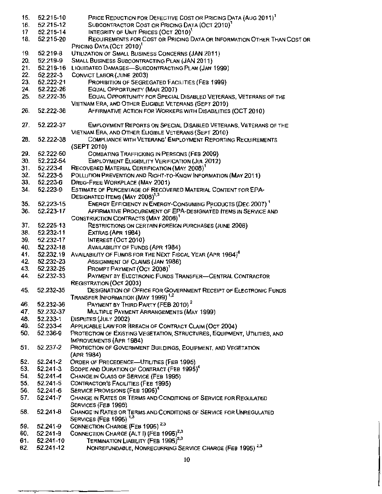| 15.<br>16.<br>17 <sub>1</sub> | 52.215-10<br>52.215-12<br>52.215-14 | PRICE REDUCTION FOR DEFECTIVE COST OR PRICING DATA (AUG 2011) <sup>1</sup><br>SUBCONTRACTOR COST OR PRICING DATA (OCT 2010) <sup>1</sup><br>INTEGRITY OF UNIT PRICES (OCT 2010) <sup>1</sup> |
|-------------------------------|-------------------------------------|----------------------------------------------------------------------------------------------------------------------------------------------------------------------------------------------|
| 18.                           | 52.215-20                           | REQUIREMENTS FOR COST OR PRICING DATA OR INFORMATION OTHER THAN COST OR<br>PRICING DATA (OCT 2010) <sup>1</sup>                                                                              |
| 19.                           | 52.219-8                            | UTILIZATION OF SMALL BUSINESS CONCERNS (JAN 2011)                                                                                                                                            |
| 20.                           | 52.219-9                            | SMALL BUSINESS SUBCONTRACTING PLAN (JAN 2011)                                                                                                                                                |
| 21.                           | 52.219-16                           | LIQUIDATEO DAMAGES-SUBCONTRACTING PLAN (JAN 1999)                                                                                                                                            |
| 22.                           | 52.222-3                            | CONVICT LABOR (JUNE 2003)                                                                                                                                                                    |
| 23.                           | 52.222-21                           | PROHIBITION OF SEGREGATED FACILITIES (FEB 1999)                                                                                                                                              |
| 24.                           | 52.222-26                           | EQUAL OPPORTUNITY (MAR 2007)                                                                                                                                                                 |
| 25.                           | 52.222-35                           | EQUAL OPPORTUNITY FOR SPECIAL DISABLED VETERANS, VETERANS OF THE                                                                                                                             |
|                               |                                     | VIETNAM ERA, AND OTHER ELIGIBLE VETERANS (SEPT 2010)                                                                                                                                         |
| 26.                           | 52.222-36                           | AFFIRMATIVE ACTION FOR WORKERS WITH DISABILITIES (OCT 2010)                                                                                                                                  |
| 27.                           | 52.222-37                           | EMPLOYMENT REPORTS ON SPECIAL DISABLED VETERANS, VETERANS OF THE                                                                                                                             |
|                               |                                     | VIETNAM ERA, AND OTHER ELIGIBLE VETERANS (SEPT 2010)                                                                                                                                         |
| 28.                           | 52.222-38                           | COMPLIANCE WITH VETERANS' EMPLOYMENT REPORTING REOUIREMENTS                                                                                                                                  |
|                               |                                     | (SEPT 2010)                                                                                                                                                                                  |
| 29.                           | 52.222-50                           | <b>COMBATING TRAFFICKING IN PERSONS (FEB 2009)</b>                                                                                                                                           |
| 30.                           | 52.222-54                           | <b>EMPLOYMENT ELIGIBILITY VERIFICATION (JUL 2012)</b>                                                                                                                                        |
| 31.                           | 52.223-4                            | RECOVERED MATERIAL CERTIFICATION (MAY 2008) <sup>1</sup>                                                                                                                                     |
| 32.                           | 52.223-5                            | POLLUTION PREVENTION AND RIGHT-TO-KNOW INFORMATION (MAY 2011)                                                                                                                                |
| 33.                           | 52.223-6                            | DRUG-FREE WORKPLACE (MAY 2001)                                                                                                                                                               |
| 34.                           | 52.223-9                            | ESTIMATE OF PERCENTAGE OF RECOVERED MATERIAL CONTENT FOR EPA-                                                                                                                                |
|                               |                                     | DESIGNATED ITEMS (MAY 2008) <sup>1,3</sup>                                                                                                                                                   |
| 35.                           | 52.223-15                           | ENERGY EFFICIENCY IN ENERGY-CONSUMING PRODUCTS (DEC 2007) <sup>1</sup>                                                                                                                       |
| 36.                           | 52,223-17                           | AFFIRMATIVE PROCUREMENT OF EPA-DESIGNATED ITEMS IN SERVICE AND                                                                                                                               |
|                               |                                     | CONSTRUCTION CONTRACTS (MAY 2008) <sup>1</sup>                                                                                                                                               |
| 37.                           | 52.225-13                           | RESTRICTIONS ON CERTAIN FOREIGN PURCHASES (JUNE 2008)                                                                                                                                        |
| 38.                           | 52.232-11                           | EXTRAS (APR 1984)                                                                                                                                                                            |
| 39.                           | 52.232-17                           | INTEREST (OCT 2010)                                                                                                                                                                          |
| 40.                           | 52.232-18                           | AVAILABILITY OF FUNDS (APR 1984)                                                                                                                                                             |
| 41.                           | 52.232.19                           | AVAILABILITY OF FUNDS FOR THE NEXT FISCAL YEAR (APR 1984) <sup>4</sup>                                                                                                                       |
| 42.                           | 52.232-23                           | ASSIGNMENT OF CLAIMS (JAN 1986)                                                                                                                                                              |
| 43.                           | 52.232-25                           | PROMPT PAYMENT (OCT 2008) <sup>7</sup>                                                                                                                                                       |
| 44.                           | 52.232-33                           | PAYMENT BY ELECTRONIC FUNDS TRANSFER-CENTRAL CONTRACTOR<br><b>REGISTRATION (OCT 2003)</b>                                                                                                    |
| 45.                           | 52.232-35                           | DESIGNATION OF OFFICE FOR GOVERNMENT RECEIPT OF ELECTRONIC FUNDS                                                                                                                             |
|                               |                                     | TRANSFER INFORMATION (MAY 1999) <sup>1,2</sup>                                                                                                                                               |
| 46.                           | 52.232-36                           | PAYMENT BY THIRD PARTY (FEB 2010) <sup>2</sup>                                                                                                                                               |
| 47.                           | 52.232-37                           | MULTIPLE PAYMENT ARRANGEMENTS (MAY 1999)                                                                                                                                                     |
| 48.                           | 52.233-1                            | DISPUTES (JULY 2002)                                                                                                                                                                         |
| 49.                           | 52.233-4                            | APPLICABLE LAW FOR BREACH OF CONTRACT CLAIM (OCT 2004)                                                                                                                                       |
| 50.                           | 52.236-9                            | PROTECTION OF EXISTING VEGETATION, STRUCTURES, EQUIPMENT, UTILITIES, AND<br><b>IMPROVEMENTS (APR 1984)</b>                                                                                   |
| 51.                           | 52.237-2                            | PROTECTION OF GOVERNMENT BUILDINGS, EQUIPMENT, AND VEGETATION<br>(APR 1984)                                                                                                                  |
| 52.                           | 52.241-2                            | ORDER OF PRECEDENCE-UTILITIES (FEB 1995)                                                                                                                                                     |
| 53.                           | 52.241-3                            | SCOPE AND DURATION OF CONTRACT (FEB 1995) <sup>4</sup>                                                                                                                                       |
| 54.                           | 52.241-4                            | CHANGE IN CLASS OF SERVICE (FEB 1995)                                                                                                                                                        |
| 55.                           | 52.241-5                            | CONTRACTOR'S FACILITIES (FEB 1995)                                                                                                                                                           |
| 56.                           | 52.241-6                            | SERVICE PROVISIONS (FEB 1995) <sup>4</sup>                                                                                                                                                   |
| 57.                           | 52.241-7                            | CHANGE IN RATES OR TERMS AND CONDITIONS OF SERVICE FOR REGULATED                                                                                                                             |
|                               |                                     | SERVICES (FEB 1995)                                                                                                                                                                          |
| 58.                           | 52.241-8                            | CHANGE IN RATES OR TERMS AND CONDITIONS OF SERVICE FOR UNREGULATED                                                                                                                           |
|                               |                                     | SERVICES (FEB 1995) <sup>1,3</sup>                                                                                                                                                           |
| 59.                           | 52.241-9                            | CONNECTION CHARGE (FEB 1995) <sup>2,3</sup>                                                                                                                                                  |
| 60.                           | 52.241-9                            | CONNECTION CHARGE (ALT I) (FEB 1995) <sup>2,3</sup>                                                                                                                                          |
| 61.                           | 52.241-10                           | TERMINATION LIABILITY (FEB 1995) <sup>2,3</sup>                                                                                                                                              |
| 62.                           | 52.241-12                           | NONREFUNDABLE, NONRECURRING SERVICE CHARGE (FEB 1995) <sup>2,3</sup>                                                                                                                         |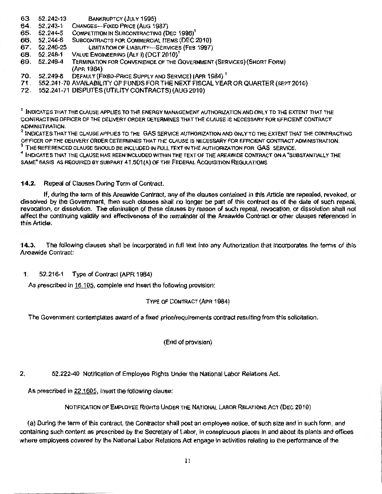| 63. | 52.242-13 | BANKRUPTCY (JULY 1995)                                                           |
|-----|-----------|----------------------------------------------------------------------------------|
| 64. | 52.243-1  | CHANGES-FIXED PRICE (AUG 1987)                                                   |
| 65. | 52.244-5  | COMPETITION IN SUBCONTRACTING (DEC 1996) <sup>1</sup>                            |
| 66. | 52.244-6  | SUBCONTRACTS FOR COMMERCIAL ITEMS (DEC 2010)                                     |
| 67. | 52.246-25 | LIMITATION OF LIABILITY-SERVICES (FEB 1997)                                      |
| 68. | 52.248-1  | VALUE ENGINEERING (ALT I) (OCT 2010)                                             |
| 69. | 52.249-4  | TERMINATION FOR CONVENIENCE OF THE GOVERNMENT (SERVICES) (SHORT FORM)            |
|     |           | (APR 1984)                                                                       |
| 70. |           | 52.249-8 DEFAULT (FIXED-PRICE SUPPLY AND SERVICE) (APR 1984) <sup>1</sup>        |
| 71. |           | 552.241-70 AVAILABILITY OF FUNDS FOR THE NEXT FISCAL YEAR OR QUARTER (SEPT 2010) |

72. 552.241-71 DISPUTES (UTILITY CONTRACTS) (AUG 2010)

<sup>1</sup> INDICATES THAT THE CLAUSE APPLIES TO THE ENERGY MANAGEMENT AUTHORIZATION AND ONLY TO THE EXTENT THAT THE CONTRACTING OFFICER OF THE DELIVERY ORDER DETERMINES THAT THE CLAUSE IS NECESSARY FOR EFFICIENT CONTRACT ADMINISTRATION.

<sup>2</sup>INDICATES THAT THE CLAUSE APPLIES TO THE GAS SERVICE AUTHORIZATION AND ONLY TO THE EXTENT THAT THE CONTRACTING OFFICER OF THE DELIVERY ORDER DETERMINES THAT THE CLAUSE IS NECESSARY FOR EFFICIENT CONTRACT ADMINISTRATION.

 $^3$  The Referenced clause should be included in full text in the authorization for GAS service.

4 INDICATES THAT THE CLAUSE HAS BEEN INCLUDED WITHIN THE TEXT OF THE AREAWIDE CONTRACT ON A "SUBSTANTIALLY THE SAME" BASIS AS REQUIRED BY SUBPART 41,501(A) OF THE FEDERAL ACQUISITION REGULATIONS

### **14.2.** Repeal of Clauses During Term of Contract.

If, during the term of this Areawide Contract, any of the clauses contained in this Article are repealed, revoked, or dissolved by the Government, then such clauses shall no longer be part of this contract as of the date of such repeal, revocation, or dissolution. The elimination of these clauses by reason of such repeal, revocation, or dissolution shall not affect the continuing validity and effectiveness of the remainder of the Areawide Contract or other clauses referenced in this Article.

**14.3.** The following clauses shall be incorporated In full text into any Authorization that incorporates the terms of this Areawide Contract:

### 1. 52.216·1 Type of Contract (APR 1984)

As prescribed in 16.105, complete and insert the following provision:

#### TYPE OF CONTRACT (APR 1984)

The Government contemplates award of a fixed price/requirements contract resulting from this solicitation.

(End of provision)

### 2. 52.222-40 Notification of Employee Rights Under the National Labor Relations Act.

As prescribed in 22.1605, insert the following clause:

NOTIFICATION OF EMPLOYEE RIGHTS UNDER THE NATIONAL lABOR RELATIONS ACT (DEC 2010)

(a) During the term of this contract, the Contractor shall post an employee notice, of such size and in such form. and containing such content as prescribed by the Secretary of Labor, in conspicuous places in and about its plants and offices where employees covered by the National Labor Relations Act engage in activities relating to the performance of the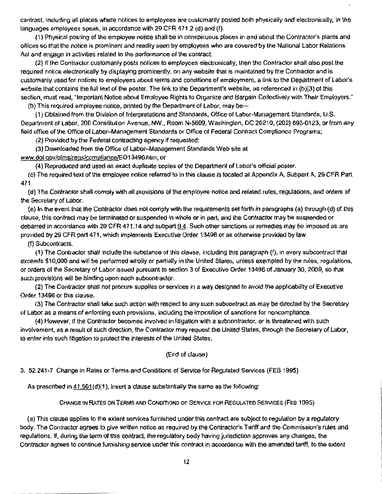contract, including all places where notices to employees are customarily posted both physically and electronically, in the languages employees speak, in accordance with 29 CFR 471.2 (d) and (f).

(1) Physical posting of the employee notice shall be in conspicuous places in and about the Contractor's plants and offices so that the notice is prominent and readily seen by employees who are covered by the National Labor Relations Act and engage in activities related to the performance of the contract.

(2) If the Contractor customarily posts notices to employees electronically, then the Contractor shall also post the required notice electronically by displaying prominently, on any website that is maintained by the Contractor and is customarily used for notices to employees about terms and conditions of employment, a link to the Department of Labor's website that contains the full text of the poster. The link to the Department's website, as referenced in (b)(3) of this section, must read, "Important Notice about Employee Rights to Organize and Bargain Collectively with Their Employers."

(b) This required employee notice, printed by the Department of Labor, may be

(1) Obtained from the Division of Interpretations and Standards, Office of Labor-Management Standards, U.S. Department of Labor, 200 Constitution Avenue, NW., Room N·5609, Washington, DC 20210, (202) 693-0123, or from any field office of the Office of Labor-Management Standards or Office of Federal Contract Compliance Programs;

{2) Provided by the Federal contracting agency if requested;

(3) Downloaded from the Office of Labor-Management Standards Web site at www.dol.gov/olms/regs/compliance/E013496.htm; or

{4) Reproduced and used as exact duplicate copies of the Department of Labor's official poster.

(c) The required text of the employee notice referred to in this clause is located at Appendix A, Subpart A, 29 CFR Part 471 .

(d) The Contractor shall comply with all provisions of the employee notice and related rules, regulations, and orders of the Secretary of Labor.

(e) In the event that the Contractor does not comply with the requirements set forth in paragraphs (a) through (d) of this clause, this contract may be terminated or suspended in whole or in part, and the Contractor may be suspended or debarred in accordance with 29 CFR 471 .14 and subpart 9.4. Such other sanctions or remedies may be imposed as are provided by 29 CFR part 471, which implements Executive Order 13496 or as otherwise provided by law.

(f) Subcontracts.

(1) The Contractor shall include the substance of this clause, including this paragraph (f), in every subcontract that exceeds \$10,000 and will be performed wholly or partially in the United States, unless exempted by the rules, regulations, or orders of the Secretary of Labor issued pursuant to section 3 of Executive Order 13496 of January 30, 2009, so that such provisions will be binding upon each subcontractor.

(2) The Contractor shall not procure supplies or services in a way designed to avoid the applicability of Executive Order 13496 or this clause.

(3) The Contractor shall take such action with respect to any such subcontract as may be directed by the Secretary of Labor as a means of enforcing such provisions, including the imposition of sanctions for noncompliance.

(4) However, if the Contractor becomes involved in litigation with a subcontractor, or is threatened with such involvement, as a result of such direction, the Contractor may request the United States, through the Secretary of Labor, to enter into such litigation to protect the interests of the United States.

#### (End of clause)

3. 52.241·7 Change in Rates or Terms and Conditions of Service for Regulated Services (FEB 1995)

As prescribed in  $41.501(d)(1)$ , insert a clause substantially the same as the following:

CHANGE IN RATES OR TERMS ANO CONOITIONS OF SERVICE FOR REGULATED SERVICES (FEB 1995)

(a) This clause applies to the extent services furnished under this contract are subject to regulation by a regulatory body. The Contractor agrees to give written notice as required by the Contractor's Tariff and the Commission's rules and regulations. If, during the term of this contract, the regulatory body having jurisdiction approves any changes, the Contractor agrees to continue furnishing service under this contract in accordance with the amended tariff, to the extent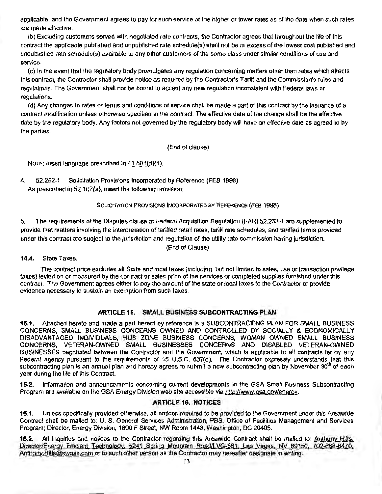applicable. and the Government agrees to pay for such service at the higher or lower rates as of the date when such rates are made effective.

(b) Excluding customers served with negotiated rate contracts, the Contractor agrees that throughout the life of this contract the applicable published and unpublished rate schedule(s) shall not be in excess of the lowest cost published and unpublished rate schedule{s) available to any other customers of the same class under similar conditions of use and service.

(c) In the event that the regulatory body promulgates any regulation concerning matters other than rates which affects this contract, the Contractor shall provide notice as required by the Contractor's Tariff and the Commission's rules and regulations. The Government shall not be bound to accept any new regulation inconsistent with Federal laws or regulations.

(d) Any changes to rates or terms and conditions of service shall be made a part of this contract by the issuance of a contract modification unless otherwise specified in the contract. The effective date of the change shall be the effective date by the regulatory body. Any factors not governed by the regulatory body will have an effective date as agreed to by the parties.

(End of clause)

NOTE: Insert language prescribed in 41 .501 (d)(1 ).

4. 52.252-1 Solicitation Provisions Incorporated by Reference (FEB 1998) As prescribed in 52.107(a}, insert the following provision:

SOLICITATION PROVISIONS INCORPORATED BY REFERENCE {FEB 1998)

5. The requirements of the Disputes clause at Federal Acquisition Regulation (FAR) 52.233-1 are supplemented to provide that matters involving the interpretation of tariffed retail rates, tariff rate schedules, and tariffed terms provided under this contract are subject to the jurisdiction and regulation of the utility rate commission having jurisdiction.

(End of Clause)

**14.4.** State Taxes.

The contract price excludes all State and local taxes (including, but not limited to sales, use or transaction privilege taxes) levied on or measured by the contract or sales price of the services or completed supplies furnished under this contract. The Government agrees either to pay the amount of the state or local taxes to the Contractor or provide evidence necessary to sustain an exemption from such taxes.

### **ARTICLE 15. SMALL BUSINESS SUBCONTRACTING PLAN**

**15.1.** Attached hereto and made a part hereof by reference is a SUBCONTRACTING PLAN FOR SMALL BUSINESS CONCERNS, SMALL BUSINESS CONCERNS OWNED AND CONTROLLED BY SOCIALLY & ECONOMICALLY DISADVANTAGED INDIVIDUALS, HUB ZONE BUSINESS CONCERNS, WOMAN OWNED SMALL BUSINESS CONCERNS, VETERAN-OWNED SMALL BUSINESSES CONCERNS AND DISABLED VETERAN-OWNED BUSINESSES negotiated between the Contractor and the Government, which is applicable to all contracts let by any Federal agency pursuant to the requirements of 15 U.S.C. 637(d). The Contractor expressly understands that this subcontracting plan is an annual plan and hereby agrees to submit a new subcontracting plan by November 30<sup>th</sup> of each year during the life of this Contract.

**15.2.** Information and announcements concerning current developments in the GSA Small Business Subcontracting Program are available on the GSA Energy Division web site accessible via http://www.gsa.gov/energy.

### **ARTICLE 16. NOTICES**

**16.1.** Unless specifically provided otherwise, all notices required to be provided to the Government under this Areawide Contract shall be mailed to: U. S. General Services Administration, PBS, Office of Facilities Management and Services Program; Director, Energy Division, 1800 F Street, NW Room 1443, Washington, DC 20405.

**16.2.** All inquiries and notices to the Contractor regarding this Areawide Contract shall be mailed to: Anthony Hills. Director/Energy Efficient Technology, 5241 Spring Mountain Road/LVG-581. Las Vegas. NV 89150. 702=668-6470. Anthony.Hills@swgas.com or to such other person as the Contractor may hereafter designate in writing.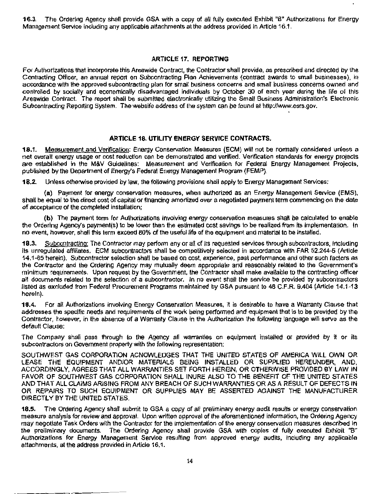16.3. The Ordering Agency shall provide GSA with a copy of all fully executed Exhibit "B" Authorizations for Energy Management Service including any applicable attachments at the address provided in Article 16.1.

### ARTICLE 17. REPORTING

For Authorizations that incorporate this Areawide Contract, the Contractor shall provide, as prescribed and directed by the Contracting Officer, an annual report on Subcontracting Plan Achievements (contract awards to small businesses), in accordance with the approved subcontracting plan for small business concerns and small business concerns owned and controlled by socially and economically disadvantaged individuals by October 30 of each year during the life of this Areawide Contract. The report shall be submitted electronically utilizing the Small Business Administration's Electronic Subcontracting Reporting System. The websife address of the system can be found at http://www.esrs.gov.

### ARTICLE 18. UTILITY ENERGY SERVICE CONTRACTS.

18.1. Measurement and Verification: Energy Conservation Measures (ECM) will not be normally considered unless a net overall energy usage or cost reduction can be demonstrated and verified. Verification standards for energy projects are established in the M&V Guidelines: Measurement and Verification for Federal Energy Management Projects, published by the Department of Energy's Federal Energy Management Program (FEMP).

18.2. Unless otherwise provided by law, the following provisions shall apply to Energy Management Services;

(a) Payment for energy conservation measures, when authorized as an Energy Management Service (EMS), shall be equal to the direct cost of capital or financing amortized over a negotiated payment term commencing on the date of acceptance of the completed installation;

(b) The payment term for Authorizations involving energy conservation measures shall be calculated to enable the Ordering Agency's payment(s) to be lower than the estimated cost savings to be realized from its Implementation. In no event, however, shall this term exceed 80% of the useful life of the equipment and material to be installed.

18.3. Subcontracting: The Contractor may perform any or all of its requested services through subcontractors, including its unregulated affiliates. ECM subcontractors shall be competitively selected in accordance with FAR 52.244-5 (Article 14.1-65 herein). Subcontractor selection shall be based on cost, experience, past performance and other such factors as the Contractor and the Ordering Agency may mutually deem appropriate and reasonably related to the Government's minimum requirements. Upon request by the Government, the Contractor shall make available to the contracting officer all documents related to the selection of a subcontractor. In no event shall the service be provided by subcontractors listed as excluded from Federal Procurement Programs maintained by GSA pursuant to 48 C.F.R. 9.404 (Article 14.1-13 herein).

18.4. For all Authorizations involving Energy Conservation Measures, it is desirable to have a Warranty Clause that addresses the specific needs and requirements of the work being performed and equipment that is to be provided by the Contractor, however, in the absence of a Warranty Clause in the Authorization the following language will serve as the default Clause:

The Company shall pass through to the Agency all warranties on equipment installed or provided by it or its subcontractors on Government property with the following representation:

SOUTHWEST GAS CORPORATION ACNOWLEDGES THAT THE UNITED STATES OF AMERICA WILL OWN OR LEASE THE EQUIPMENT AND/OR MATERIALS BEING INSTALLED OR SUPPLIED HEREUNDER, AND, ACCORDINGLY, AGREES THAT ALL WARRANTIES SET FORTH HEREIN, OR OTHERWISE PROVIDED BY LAW IN FAVOR OF SOUTHWEST GAS CORPORATION SHALL INURE ALSO TO THE BENEFIT OF THE UNITED STATES AND THAT ALL CLAIMS ARISING FROM ANY BREACH OF SUCH WARRANTIES OR AS A RESULT OF DEFECTS IN OR REPAIRS TO SUCH EQUIPMENT OR SUPPLIES MAY BE ASSERTED AGAINST THE MANUFACTURER DIRECTLY BY THE UNITED STATES.

18.5. The Ordering Agency shall submit to GSA a copy of all preliminary energy audit results or energy conservation measure analysis for review and approval. Upon written approval of the aforementioned information, the Ordering Agency may negotiate Task Orders with the Contractor for the implementation of the energy conservation measures described in the preliminary documents. The Ordering Agency shall provide GSA with copies of fully executed Exhibit "B" Authorizations for Energy Management Service resulting from approved energy audits, including any applicable attachments, at the address provided in Article 16.1.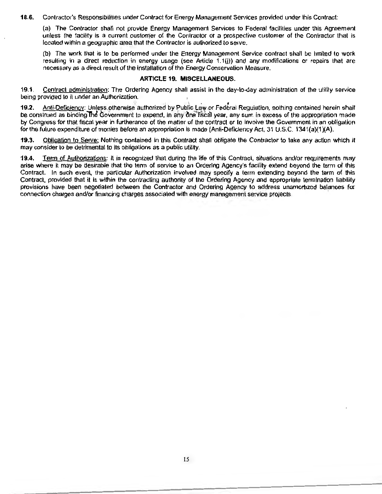18.6. Contractor's Responsibilities under Contract for Energy Management Services provided under this Contract:

(a) The Contractor shall not provide Energy Management Services to Federal facilities under this Agreement unless the facility is a current customer of the Contractor or a prospective customer of the Contractor that is located within a geographic area that the Contractor is authorized to serve.

(b) The work that is to be performed under the Energy Management Service contract shall be limited to work resulting in a direct reduction in energy usage (see Article 1.1 (j)) and any modifications or repairs that are necessary as a direct result of the installation of the Energy Conservation Measure.

#### ARTICLE 19. MISCELLANEOUS.

19.1. Contract administration: The Ordering Agency shall assist in the day-to-day administration of the utility service being provided to it under an Authorization.

19.2. Anti-Deficiency: Unless otherwise authorized by Public Law or Federal Regulation, nothing contained herein shall be construed as binding the Government to expend, in any one fiscal year, any sum in excess of the appropriation made by Congress for that fiscal year in furtherance of the matter of the contract or to involve the Government in an obligation for the future expenditure of monies before an appropriation is made (Anti-Deficiency Act, 31 U.S.C. 1341(a)(1}(A).

19.3. Obligation to Serve: Nothing contained in this Contract shall obligate the Contractor to take any action which it may consider to be detrimental to its obligations as a public utility.

19.4. Term of Authorizations: It is recognized that during the life of this Contract, situations and/or requirements may arise where it may be desirable that the term of service to an Ordering Agency's facility extend beyond the term of this Contract. In such event, the particular Authorization involved may specify a term extending beyond the term of this Contract, provided that it is within the contracting authority of the Ordering Agency and appropriate termination liability provisions have been negotiated between the Contractor and Ordering Agency to address unamortized balances for connection charges and/or financing charges associated with energy management service projects. '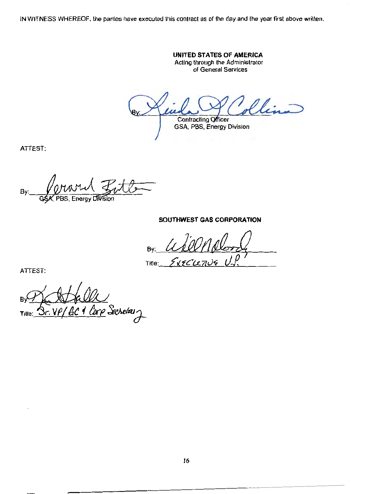IN WITNESS WHEREOF, the parties have executed this contract as of the day and the year first above written.

#### **UNITED STATES OF AMERICA**  Acting through the Administrator of General Services

**Contracting Officer** GSA, PBS, Energy Division

ATTEST:

By: PBS, Energy Division

**SOUTHWEST GAS CORPORATION** 

Bv Title: *SKECLETIVE* 

ATTEST:

B١ <u>Corp</u> Secretar<sub>)</sub> Title: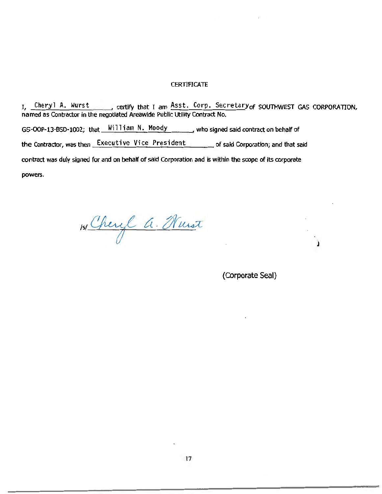#### **CERTIFICATE**

 $I$ ,  $\overline{Chery1}$  A. Wurst  $\overline{C}$ , certify that I am  $\overline{Asst}$ . Corp. Secretary $\sigma$ f SOUTHWEST GAS CORPORATION, named as Contractor in the negotiated Areawide Public Utility Contract No. GS-OOP-13-BSD-1002; that William N. Moody who signed said contract on behalf of the Contractor, was then Executive Vice President of said Corporation; and that said contract was duly signed for and on behalf of said Corporation and is within the scope of its corporate powers.

15 Cheryl a. Nurst

(Corporate Seal)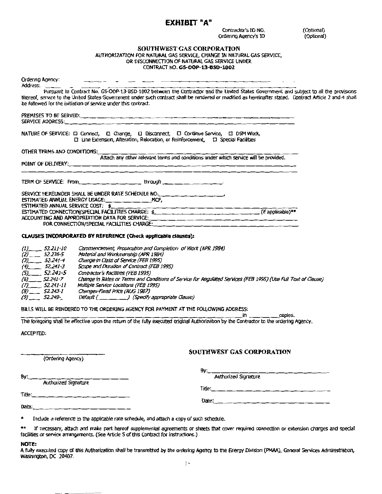# **EXHIBIT "A"**

Contractor's 10 NO.. \_\_\_\_\_(Optional) Ordering Agency's ID

#### SOUTHWEST GAS CORPORATION

AUTHORIZATION FOR NATURAL GAS SERVICE, CHANGE IN NATURAL GAS SERVICE,<br>OR DISCONNECTION OF NATURAL GAS SERVICE UNDER<br>CONTRACT NO. **GS-OOP-13-BSD-1002** 

| Ordering Agency:<br>Address:                                                                                                                                                                                                                                                                                                                                        |
|---------------------------------------------------------------------------------------------------------------------------------------------------------------------------------------------------------------------------------------------------------------------------------------------------------------------------------------------------------------------|
| Pursuant to Contract No. GS-OOP-13-BSD-1002 between the Contractor and the United States Government and subject to all the provisions<br>thereof, service to the United States Government under such contract shall be rendered or modified as hereinafter stated. Contract Article 2 and 4 shall<br>be followed for the initiation of service under this contract. |
|                                                                                                                                                                                                                                                                                                                                                                     |
| NATURE OF SERVICE: □ Connect, □ Change, □ Disconnect, □ Continue Service, □ DSM Work,<br>□ Line Extension, Alteration, Relocation, or Reinforcement, □ Special Facilities                                                                                                                                                                                           |
| OTHER TERMS AND CONDITIONS:                                                                                                                                                                                                                                                                                                                                         |
| Attach any other relevant terms and conditions under which service will be provided.                                                                                                                                                                                                                                                                                |
| TERM OF SERVICE: From $\qquad \qquad$ __ _ _ _ _ _ _ _ _ _ through __ _ _ _ _ _ _ _ _ _                                                                                                                                                                                                                                                                             |
| SERVICE HEREUNDER SHALL BE UNDER RATE SCHEDULE NO. ____ __ __ __ __ __ __ __ __<br>ESTIMATED ANNUAL ENERGY USAGE: ___ ___ ___ __ __ __ MCF,                                                                                                                                                                                                                         |
| Accounting and appropriation data for service: __ _ _ _ _ _ _ _ _ _ _ _ _ _ _ _                                                                                                                                                                                                                                                                                     |
|                                                                                                                                                                                                                                                                                                                                                                     |
| CLAUSES INCORPORATED BY REFERENCE (Check applicable clauses):                                                                                                                                                                                                                                                                                                       |
| Commencement, Prosecution and Completion of Work (APR 1984)<br>$(1)$ 52.211-10<br>Material and Workmanship (APR 1984)<br>$(2)$ <sub>----</sub> 52.236-5<br>$(3)$ 52.241-4<br>Change in Class of Service (FEB 1995)                                                                                                                                                  |
| Scope and Duration of Contract (FEB 1995)<br>$(4)$ 52.241-3                                                                                                                                                                                                                                                                                                         |
| $(5)$ 52.241-5<br>Contractor's Facilities (FEB 1995)<br>Change in Rates or Terms and Conditions of Service for Regulated Services (FEB 1995) (Use Full Text of Clause)<br>$(6)$ 52.241.7                                                                                                                                                                            |
| $(7)$ 52.241-11<br>Multiple Service Locations (FEB 1995)                                                                                                                                                                                                                                                                                                            |
| Changes-Fixed Price (AUG 1987)<br>$(8)$ 52.243-1                                                                                                                                                                                                                                                                                                                    |
| Default ( __ __ _ ) (Specify appropriate Clause)<br>$(9)$ 52.249-                                                                                                                                                                                                                                                                                                   |
| BILLS WILL BE RENDERED TO THE ORDERING AGENCY FOR PAYMENT AT THE FOLLOWING ADDRESS:<br>copies.                                                                                                                                                                                                                                                                      |
| The foregoing shall be effective upon the return of the fully executed original Authorization by the Contractor to the ordering Agency.                                                                                                                                                                                                                             |
| <b>ACCEPTED:</b>                                                                                                                                                                                                                                                                                                                                                    |
| SOUTHWEST GAS CORPORATION<br>(Ordering Agency)                                                                                                                                                                                                                                                                                                                      |
|                                                                                                                                                                                                                                                                                                                                                                     |
| By:<br>Authorized Signature<br>Вγ:__<br>Authorized Signature                                                                                                                                                                                                                                                                                                        |
|                                                                                                                                                                                                                                                                                                                                                                     |
|                                                                                                                                                                                                                                                                                                                                                                     |
| Date: ___ __ __ __ __ __ __ __ __ __ __                                                                                                                                                                                                                                                                                                                             |
| *<br>Include a reference to the applicable rate schedule, and attach a copy of such schedule.                                                                                                                                                                                                                                                                       |
| If necessary, attach and make part hereof supplemental agreements or sheets that cover required connection or extension charges and special<br>草本<br>facilities or service arrangements. (See Article 5 of this Contract for instructions.)                                                                                                                         |
| <b>NOTE:</b><br>A fully executed copy of this Authorization shall be transmitted by the ordering Agency to the Energy Division (PMAA), General Services Administration,<br>Washington, DC 20407.                                                                                                                                                                    |